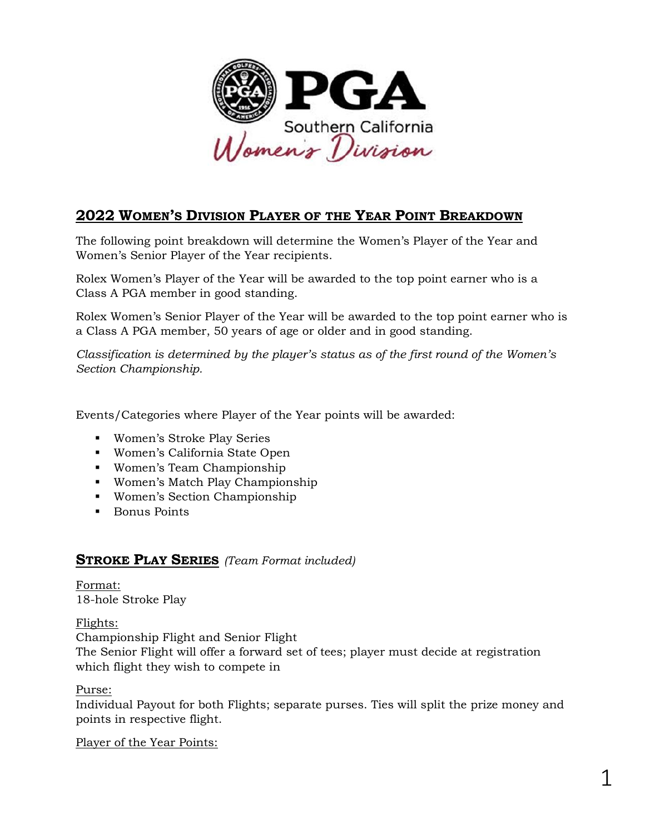

# **2022 WOMEN'S DIVISION PLAYER OF THE YEAR POINT BREAKDOWN**

The following point breakdown will determine the Women's Player of the Year and Women's Senior Player of the Year recipients.

Rolex Women's Player of the Year will be awarded to the top point earner who is a Class A PGA member in good standing.

Rolex Women's Senior Player of the Year will be awarded to the top point earner who is a Class A PGA member, 50 years of age or older and in good standing.

*Classification is determined by the player's status as of the first round of the Women's Section Championship.*

Events/Categories where Player of the Year points will be awarded:

- Women's Stroke Play Series
- Women's California State Open
- Women's Team Championship
- Women's Match Play Championship
- Women's Section Championship
- Bonus Points

### **STROKE PLAY SERIES** *(Team Format included)*

Format: 18-hole Stroke Play

#### Flights:

Championship Flight and Senior Flight

The Senior Flight will offer a forward set of tees; player must decide at registration which flight they wish to compete in

Purse:

Individual Payout for both Flights; separate purses. Ties will split the prize money and points in respective flight.

Player of the Year Points: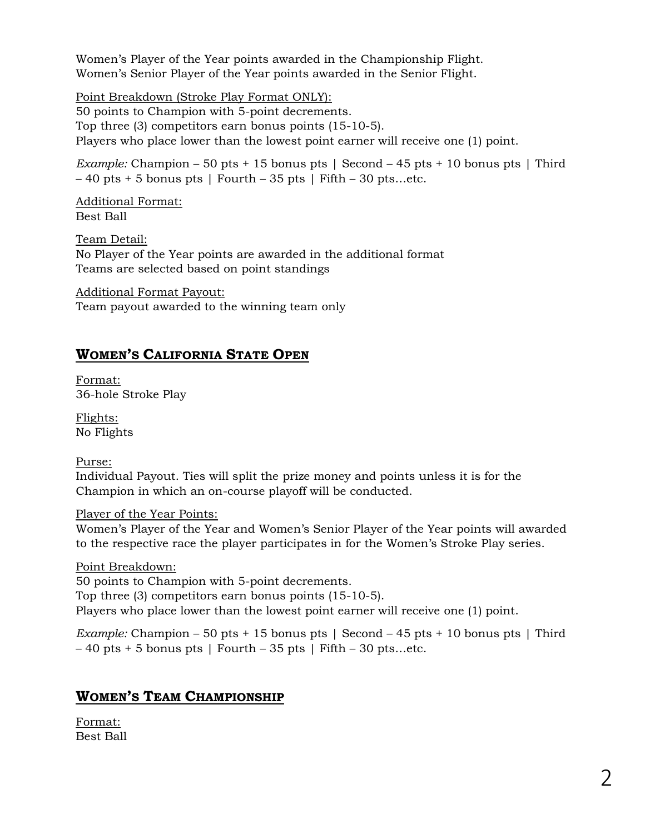Women's Player of the Year points awarded in the Championship Flight. Women's Senior Player of the Year points awarded in the Senior Flight.

Point Breakdown (Stroke Play Format ONLY):

50 points to Champion with 5-point decrements. Top three (3) competitors earn bonus points (15-10-5). Players who place lower than the lowest point earner will receive one (1) point.

*Example:* Champion – 50 pts + 15 bonus pts | Second – 45 pts + 10 bonus pts | Third  $-40$  pts  $+5$  bonus pts | Fourth  $-35$  pts | Fifth  $-30$  pts...etc.

Additional Format: Best Ball

Team Detail: No Player of the Year points are awarded in the additional format Teams are selected based on point standings

Additional Format Payout: Team payout awarded to the winning team only

## **WOMEN'S CALIFORNIA STATE OPEN**

Format: 36-hole Stroke Play

Flights: No Flights

Purse:

Individual Payout. Ties will split the prize money and points unless it is for the Champion in which an on-course playoff will be conducted.

### Player of the Year Points:

Women's Player of the Year and Women's Senior Player of the Year points will awarded to the respective race the player participates in for the Women's Stroke Play series.

Point Breakdown: 50 points to Champion with 5-point decrements. Top three (3) competitors earn bonus points (15-10-5). Players who place lower than the lowest point earner will receive one (1) point.

*Example:* Champion – 50 pts + 15 bonus pts | Second – 45 pts + 10 bonus pts | Third  $-40$  pts + 5 bonus pts | Fourth – 35 pts | Fifth – 30 pts...etc.

### **WOMEN'S TEAM CHAMPIONSHIP**

Format: Best Ball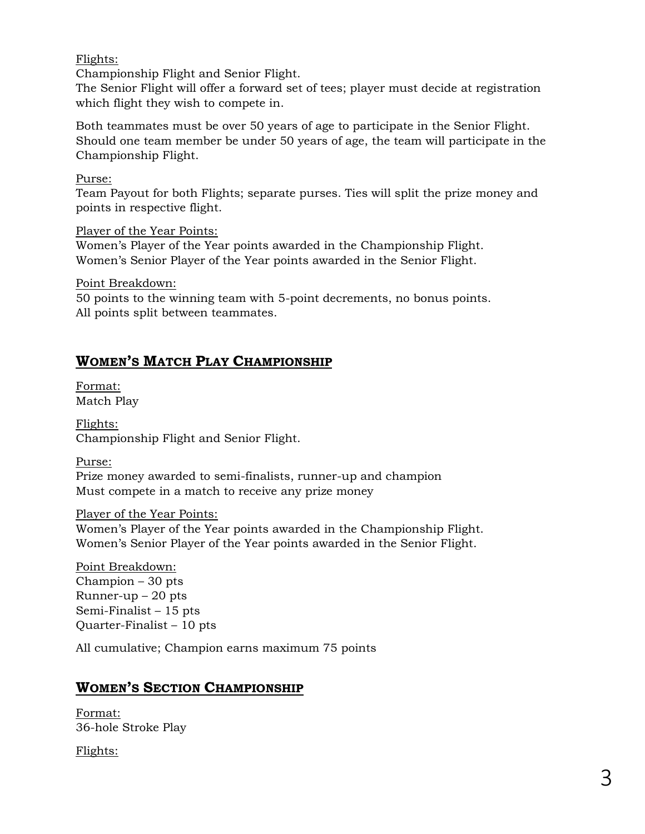#### Flights:

Championship Flight and Senior Flight.

The Senior Flight will offer a forward set of tees; player must decide at registration which flight they wish to compete in.

Both teammates must be over 50 years of age to participate in the Senior Flight. Should one team member be under 50 years of age, the team will participate in the Championship Flight.

#### Purse:

Team Payout for both Flights; separate purses. Ties will split the prize money and points in respective flight.

Player of the Year Points:

Women's Player of the Year points awarded in the Championship Flight. Women's Senior Player of the Year points awarded in the Senior Flight.

Point Breakdown:

50 points to the winning team with 5-point decrements, no bonus points. All points split between teammates.

## **WOMEN'S MATCH PLAY CHAMPIONSHIP**

Format: Match Play

Flights: Championship Flight and Senior Flight.

Purse:

Prize money awarded to semi-finalists, runner-up and champion Must compete in a match to receive any prize money

### Player of the Year Points:

Women's Player of the Year points awarded in the Championship Flight. Women's Senior Player of the Year points awarded in the Senior Flight.

Point Breakdown: Champion – 30 pts Runner-up  $-20$  pts Semi-Finalist – 15 pts Quarter-Finalist – 10 pts

All cumulative; Champion earns maximum 75 points

### **WOMEN'S SECTION CHAMPIONSHIP**

Format: 36-hole Stroke Play

Flights: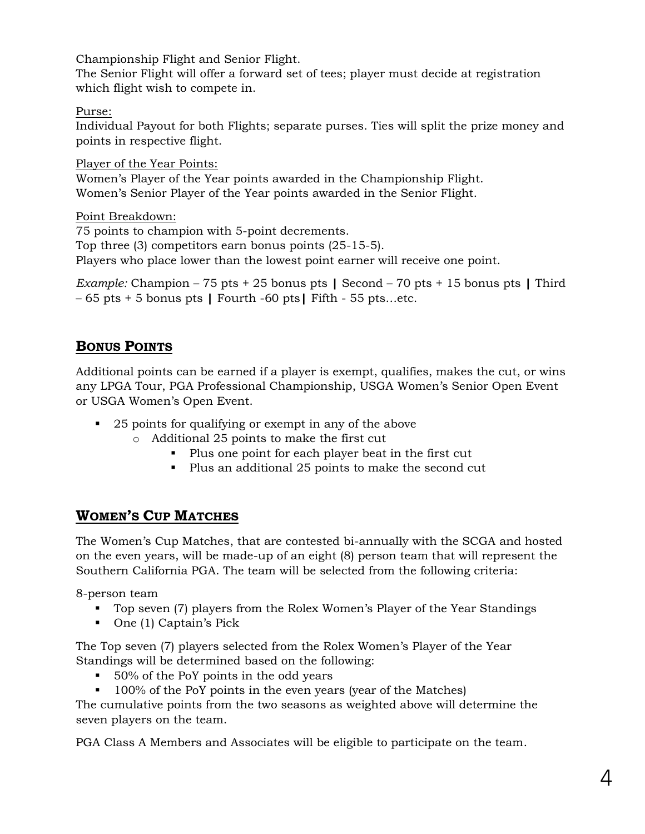Championship Flight and Senior Flight.

The Senior Flight will offer a forward set of tees; player must decide at registration which flight wish to compete in.

### Purse:

Individual Payout for both Flights; separate purses. Ties will split the prize money and points in respective flight.

Player of the Year Points: Women's Player of the Year points awarded in the Championship Flight. Women's Senior Player of the Year points awarded in the Senior Flight.

Point Breakdown:

75 points to champion with 5-point decrements. Top three (3) competitors earn bonus points (25-15-5). Players who place lower than the lowest point earner will receive one point.

*Example:* Champion – 75 pts + 25 bonus pts **|** Second – 70 pts + 15 bonus pts **|** Third – 65 pts + 5 bonus pts **|** Fourth -60 pts**|** Fifth - 55 pts…etc.

# **BONUS POINTS**

Additional points can be earned if a player is exempt, qualifies, makes the cut, or wins any LPGA Tour, PGA Professional Championship, USGA Women's Senior Open Event or USGA Women's Open Event.

- 25 points for qualifying or exempt in any of the above
	- o Additional 25 points to make the first cut
		- Plus one point for each player beat in the first cut
		- Plus an additional 25 points to make the second cut

## **WOMEN'S CUP MATCHES**

The Women's Cup Matches, that are contested bi-annually with the SCGA and hosted on the even years, will be made-up of an eight (8) person team that will represent the Southern California PGA. The team will be selected from the following criteria:

8-person team

- Top seven (7) players from the Rolex Women's Player of the Year Standings
- One (1) Captain's Pick

The Top seven (7) players selected from the Rolex Women's Player of the Year Standings will be determined based on the following:

- 50% of the PoY points in the odd years
- 100% of the PoY points in the even years (year of the Matches)

The cumulative points from the two seasons as weighted above will determine the seven players on the team.

PGA Class A Members and Associates will be eligible to participate on the team.